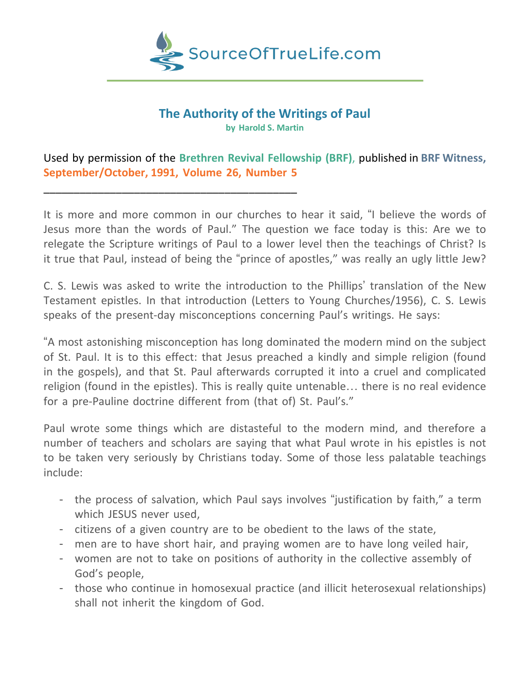

## **The Authority of the Writings of Paul**

**by Harold S. Martin**

Used by permission of the **Brethren Revival Fellowship (BRF)**, published in **BRF Witness, September/October, 1991, Volume 26, Number 5**

\_\_\_\_\_\_\_\_\_\_\_\_\_\_\_\_\_\_\_\_\_\_\_\_\_\_\_\_\_\_\_\_\_\_\_\_\_\_\_\_\_\_

It is more and more common in our churches to hear it said, "I believe the words of Jesus more than the words of Paul." The question we face today is this: Are we to relegate the Scripture writings of Paul to a lower level then the teachings of Christ? Is it true that Paul, instead of being the "prince of apostles," was really an ugly little Jew?

C. S. Lewis was asked to write the introduction to the Phillips' translation of the New Testament epistles. In that introduction (Letters to Young Churches/1956), C. S. Lewis speaks of the present-day misconceptions concerning Paul's writings. He says:

"A most astonishing misconception has long dominated the modern mind on the subject of St. Paul. It is to this effect: that Jesus preached a kindly and simple religion (found in the gospels), and that St. Paul afterwards corrupted it into a cruel and complicated religion (found in the epistles). This is really quite untenable… there is no real evidence for a pre-Pauline doctrine different from (that of) St. Paul's."

Paul wrote some things which are distasteful to the modern mind, and therefore a number of teachers and scholars are saying that what Paul wrote in his epistles is not to be taken very seriously by Christians today. Some of those less palatable teachings include:

- the process of salvation, which Paul says involves "justification by faith," a term which JESUS never used,
- citizens of a given country are to be obedient to the laws of the state,
- men are to have short hair, and praying women are to have long veiled hair,
- women are not to take on positions of authority in the collective assembly of God's people,
- those who continue in homosexual practice (and illicit heterosexual relationships) shall not inherit the kingdom of God.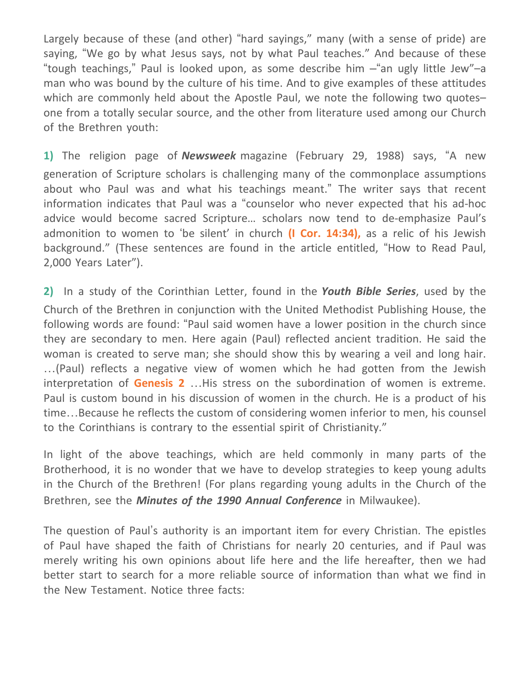Largely because of these (and other) "hard sayings," many (with a sense of pride) are saying, "We go by what Jesus says, not by what Paul teaches." And because of these "tough teachings," Paul is looked upon, as some describe him –"an ugly little Jew"–a man who was bound by the culture of his time. And to give examples of these attitudes which are commonly held about the Apostle Paul, we note the following two quotesone from a totally secular source, and the other from literature used among our Church of the Brethren youth:

**1)** The religion page of *Newsweek* magazine (February 29, 1988) says, "A new generation of Scripture scholars is challenging many of the commonplace assumptions about who Paul was and what his teachings meant." The writer says that recent information indicates that Paul was a "counselor who never expected that his ad-hoc advice would become sacred Scripture… scholars now tend to de-emphasize Paul's admonition to women to 'be silent' in church **(I Cor. 14:34),** as a relic of his Jewish background." (These sentences are found in the article entitled, "How to Read Paul, 2,000 Years Later").

**2)** In a study of the Corinthian Letter, found in the *Youth Bible Series*, used by the Church of the Brethren in conjunction with the United Methodist Publishing House, the following words are found: "Paul said women have a lower position in the church since they are secondary to men. Here again (Paul) reflected ancient tradition. He said the woman is created to serve man; she should show this by wearing a veil and long hair. …(Paul) reflects a negative view of women which he had gotten from the Jewish interpretation of **Genesis 2** …His stress on the subordination of women is extreme. Paul is custom bound in his discussion of women in the church. He is a product of his time…Because he reflects the custom of considering women inferior to men, his counsel to the Corinthians is contrary to the essential spirit of Christianity."

In light of the above teachings, which are held commonly in many parts of the Brotherhood, it is no wonder that we have to develop strategies to keep young adults in the Church of the Brethren! (For plans regarding young adults in the Church of the Brethren, see the *Minutes of the 1990 Annual Conference* in Milwaukee).

The question of Paul's authority is an important item for every Christian. The epistles of Paul have shaped the faith of Christians for nearly 20 centuries, and if Paul was merely writing his own opinions about life here and the life hereafter, then we had better start to search for a more reliable source of information than what we find in the New Testament. Notice three facts: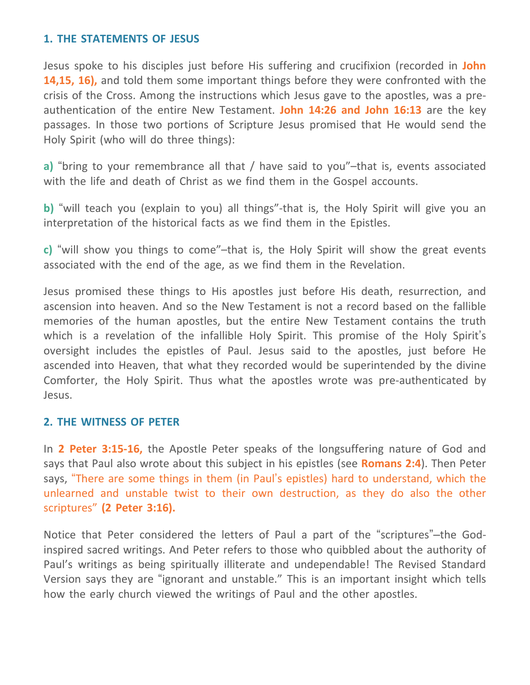## **1. THE STATEMENTS OF JESUS**

Jesus spoke to his disciples just before His suffering and crucifixion (recorded in **John 14,15, 16),** and told them some important things before they were confronted with the crisis of the Cross. Among the instructions which Jesus gave to the apostles, was a preauthentication of the entire New Testament. **John 14:26 and John 16:13** are the key passages. In those two portions of Scripture Jesus promised that He would send the Holy Spirit (who will do three things):

**a)** "bring to your remembrance all that / have said to you"–that is, events associated with the life and death of Christ as we find them in the Gospel accounts.

**b)** "will teach you (explain to you) all things"-that is, the Holy Spirit will give you an interpretation of the historical facts as we find them in the Epistles.

**c)** "will show you things to come"–that is, the Holy Spirit will show the great events associated with the end of the age, as we find them in the Revelation.

Jesus promised these things to His apostles just before His death, resurrection, and ascension into heaven. And so the New Testament is not a record based on the fallible memories of the human apostles, but the entire New Testament contains the truth which is a revelation of the infallible Holy Spirit. This promise of the Holy Spirit's oversight includes the epistles of Paul. Jesus said to the apostles, just before He ascended into Heaven, that what they recorded would be superintended by the divine Comforter, the Holy Spirit. Thus what the apostles wrote was pre-authenticated by Jesus.

## **2. THE WITNESS OF PETER**

In **2 Peter 3:15-16,** the Apostle Peter speaks of the longsuffering nature of God and says that Paul also wrote about this subject in his epistles (see **Romans 2:4**). Then Peter says, "There are some things in them (in Paul's epistles) hard to understand, which the unlearned and unstable twist to their own destruction, as they do also the other scriptures" **(2 Peter 3:16).**

Notice that Peter considered the letters of Paul a part of the "scriptures"–the Godinspired sacred writings. And Peter refers to those who quibbled about the authority of Paul's writings as being spiritually illiterate and undependable! The Revised Standard Version says they are "ignorant and unstable." This is an important insight which tells how the early church viewed the writings of Paul and the other apostles.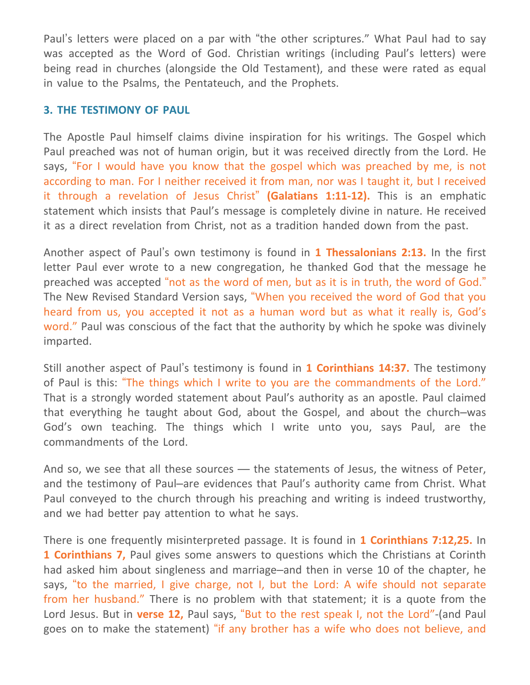Paul's letters were placed on a par with "the other scriptures." What Paul had to say was accepted as the Word of God. Christian writings (including Paul's letters) were being read in churches (alongside the Old Testament), and these were rated as equal in value to the Psalms, the Pentateuch, and the Prophets.

## **3. THE TESTIMONY OF PAUL**

The Apostle Paul himself claims divine inspiration for his writings. The Gospel which Paul preached was not of human origin, but it was received directly from the Lord. He says, "For I would have you know that the gospel which was preached by me, is not according to man. For I neither received it from man, nor was I taught it, but I received it through a revelation of Jesus Christ" **(Galatians 1:11-12).** This is an emphatic statement which insists that Paul's message is completely divine in nature. He received it as a direct revelation from Christ, not as a tradition handed down from the past.

Another aspect of Paul's own testimony is found in **1 Thessalonians 2:13.** In the first letter Paul ever wrote to a new congregation, he thanked God that the message he preached was accepted "not as the word of men, but as it is in truth, the word of God." The New Revised Standard Version says, "When you received the word of God that you heard from us, you accepted it not as a human word but as what it really is, God's word." Paul was conscious of the fact that the authority by which he spoke was divinely imparted.

Still another aspect of Paul's testimony is found in **1 Corinthians 14:37.** The testimony of Paul is this: "The things which I write to you are the commandments of the Lord." That is a strongly worded statement about Paul's authority as an apostle. Paul claimed that everything he taught about God, about the Gospel, and about the church–was God's own teaching. The things which I write unto you, says Paul, are the commandments of the Lord.

And so, we see that all these sources — the statements of Jesus, the witness of Peter, and the testimony of Paul–are evidences that Paul's authority came from Christ. What Paul conveyed to the church through his preaching and writing is indeed trustworthy, and we had better pay attention to what he says.

There is one frequently misinterpreted passage. It is found in **1 Corinthians 7:12,25.** In **1 Corinthians 7,** Paul gives some answers to questions which the Christians at Corinth had asked him about singleness and marriage–and then in verse 10 of the chapter, he says, "to the married, I give charge, not I, but the Lord: A wife should not separate from her husband." There is no problem with that statement; it is a quote from the Lord Jesus. But in **verse 12,** Paul says, "But to the rest speak I, not the Lord"-(and Paul goes on to make the statement) "if any brother has a wife who does not believe, and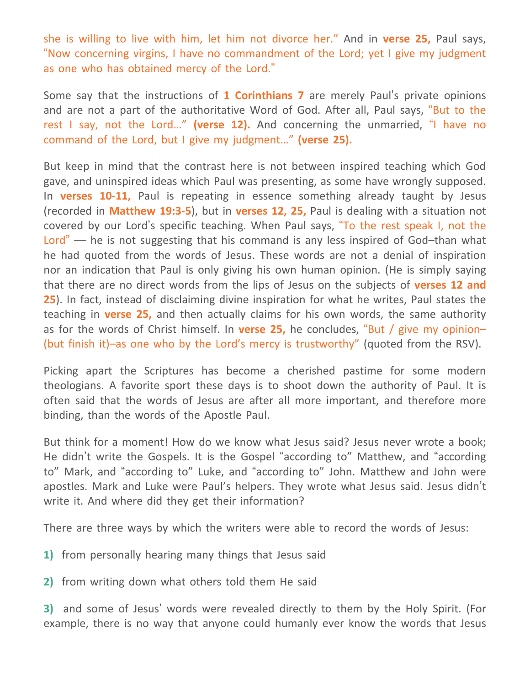she is willing to live with him, let him not divorce her." And in **verse 25,** Paul says, "Now concerning virgins, I have no commandment of the Lord; yet I give my judgment as one who has obtained mercy of the Lord."

Some say that the instructions of **1 Corinthians 7** are merely Paul's private opinions and are not a part of the authoritative Word of God. After all, Paul says, "But to the rest I say, not the Lord…" **(verse 12).** And concerning the unmarried, "I have no command of the Lord, but I give my judgment…" **(verse 25).**

But keep in mind that the contrast here is not between inspired teaching which God gave, and uninspired ideas which Paul was presenting, as some have wrongly supposed. In **verses 10-11,** Paul is repeating in essence something already taught by Jesus (recorded in **Matthew 19:3-5**), but in **verses 12, 25,** Paul is dealing with a situation not covered by our Lord's specific teaching. When Paul says, "To the rest speak I, not the Lord" — he is not suggesting that his command is any less inspired of God-than what he had quoted from the words of Jesus. These words are not a denial of inspiration nor an indication that Paul is only giving his own human opinion. (He is simply saying that there are no direct words from the lips of Jesus on the subjects of **verses 12 and 25**). In fact, instead of disclaiming divine inspiration for what he writes, Paul states the teaching in **verse 25,** and then actually claims for his own words, the same authority as for the words of Christ himself. In **verse 25,** he concludes, "But / give my opinion– (but finish it)–as one who by the Lord's mercy is trustworthy" (quoted from the RSV).

Picking apart the Scriptures has become a cherished pastime for some modern theologians. A favorite sport these days is to shoot down the authority of Paul. It is often said that the words of Jesus are after all more important, and therefore more binding, than the words of the Apostle Paul.

But think for a moment! How do we know what Jesus said? Jesus never wrote a book; He didn't write the Gospels. It is the Gospel "according to" Matthew, and "according to" Mark, and "according to" Luke, and "according to" John. Matthew and John were apostles. Mark and Luke were Paul's helpers. They wrote what Jesus said. Jesus didn't write it. And where did they get their information?

There are three ways by which the writers were able to record the words of Jesus:

- **1)** from personally hearing many things that Jesus said
- **2)** from writing down what others told them He said

**3)** and some of Jesus' words were revealed directly to them by the Holy Spirit. (For example, there is no way that anyone could humanly ever know the words that Jesus